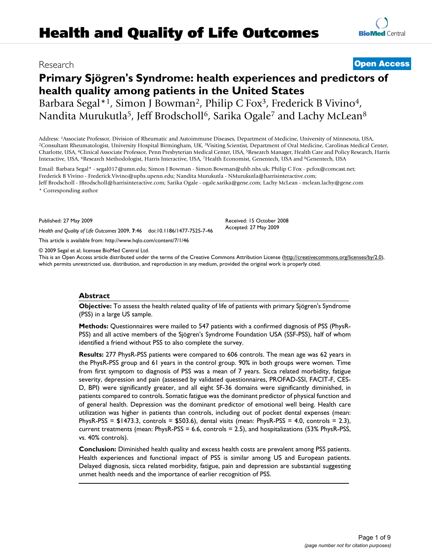# **Primary Sjögren's Syndrome: health experiences and predictors of health quality among patients in the United States** Barbara Segal\*<sup>1</sup>, Simon J Bowman<sup>2</sup>, Philip C Fox<sup>3</sup>, Frederick B Vivino<sup>4</sup>, Nandita Murukutla<sup>5</sup>, Jeff Brodscholl<sup>6</sup>, Sarika Ogale<sup>7</sup> and Lachy McLean<sup>8</sup>

Address: <sup>1</sup>Associate Professor, Division of Rheumatic and Autoimmune Diseases, Department of Medicine, University of Minnesota, USA,<br><sup>2</sup>Consultant Rheumatologist, University Hospital Birmingham, UK, <sup>3</sup>Visiting Scientist, Charlotte, USA, 4Clinical Associate Professor, Penn Presbyterian Medical Center, USA, 5Research Manager, Health Care and Policy Research, Harris Interactive, USA, <sup>6</sup>Research Methodologist, Harris Interactive, USA, 7Health Economist, Genentech, USA and <sup>8</sup>Genentech, USA

Email: Barbara Segal\* - segal017@umn.edu; Simon J Bowman - Simon.Bowman@uhb.nhs.uk; Philip C Fox - pcfox@comcast.net; Frederick B Vivino - Frederick.Vivino@uphs.upenn.edu; Nandita Murukutla - NMurukutla@harrisinteractive.com; Jeff Brodscholl - JBrodscholl@harrisinteractive.com; Sarika Ogale - ogale.sarika@gene.com; Lachy McLean - mclean.lachy@gene.com

\* Corresponding author

Published: 27 May 2009

*Health and Quality of Life Outcomes* 2009, **7**:46 doi:10.1186/1477-7525-7-46

[This article is available from: http://www.hqlo.com/content/7/1/46](http://www.hqlo.com/content/7/1/46)

© 2009 Segal et al; licensee BioMed Central Ltd.

This is an Open Access article distributed under the terms of the Creative Commons Attribution License [\(http://creativecommons.org/licenses/by/2.0\)](http://creativecommons.org/licenses/by/2.0), which permits unrestricted use, distribution, and reproduction in any medium, provided the original work is properly cited.

Received: 15 October 2008 Accepted: 27 May 2009

# **Abstract**

**Objective:** To assess the health related quality of life of patients with primary Sjögren's Syndrome (PSS) in a large US sample.

**Methods:** Questionnaires were mailed to 547 patients with a confirmed diagnosis of PSS (PhysR-PSS) and all active members of the Sjögren's Syndrome Foundation USA (SSF-PSS), half of whom identified a friend without PSS to also complete the survey.

**Results:** 277 PhysR-PSS patients were compared to 606 controls. The mean age was 62 years in the PhysR-PSS group and 61 years in the control group. 90% in both groups were women. Time from first symptom to diagnosis of PSS was a mean of 7 years. Sicca related morbidity, fatigue severity, depression and pain (assessed by validated questionnaires, PROFAD-SSI, FACIT-F, CES-D, BPI) were significantly greater, and all eight SF-36 domains were significantly diminished, in patients compared to controls. Somatic fatigue was the dominant predictor of physical function and of general health. Depression was the dominant predictor of emotional well being. Health care utilization was higher in patients than controls, including out of pocket dental expenses (mean: PhysR-PSS = \$1473.3, controls = \$503.6), dental visits (mean: PhysR-PSS = 4.0, controls = 2.3), current treatments (mean: PhysR-PSS = 6.6, controls = 2.5), and hospitalizations (53% PhysR-PSS, vs. 40% controls).

**Conclusion:** Diminished health quality and excess health costs are prevalent among PSS patients. Health experiences and functional impact of PSS is similar among US and European patients. Delayed diagnosis, sicca related morbidity, fatigue, pain and depression are substantial suggesting unmet health needs and the importance of earlier recognition of PSS.

Research **[Open Access](http://www.biomedcentral.com/info/about/charter/)**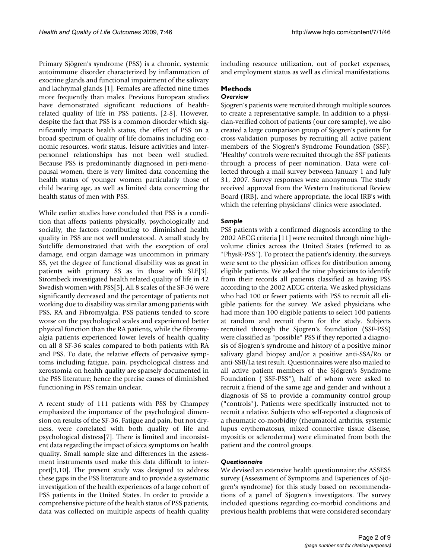Primary Sjögren's syndrome (PSS) is a chronic, systemic autoimmune disorder characterized by inflammation of exocrine glands and functional impairment of the salivary and lachrymal glands [\[1\]](#page-7-0). Females are affected nine times more frequently than males. Previous European studies have demonstrated significant reductions of healthrelated quality of life in PSS patients, [\[2-](#page-7-1)[8](#page-7-2)]. However, despite the fact that PSS is a common disorder which significantly impacts health status, the effect of PSS on a broad spectrum of quality of life domains including economic resources, work status, leisure activities and interpersonnel relationships has not been well studied. Because PSS is predominantly diagnosed in peri-menopausal women, there is very limited data concerning the health status of younger women particularly those of child bearing age, as well as limited data concerning the health status of men with PSS.

While earlier studies have concluded that PSS is a condition that affects patients physically, psychologically and socially, the factors contributing to diminished health quality in PSS are not well understood. A small study by Sutcliffe demonstrated that with the exception of oral damage, end organ damage was uncommon in primary SS, yet the degree of functional disability was as great in patients with primary SS as in those with SLE[[3](#page-7-3)]. Strombeck investigated health related quality of life in 42 Swedish women with PSS[[5](#page-7-4)]. All 8 scales of the SF-36 were significantly decreased and the percentage of patients not working due to disability was similar among patients with PSS, RA and Fibromyalgia. PSS patients tended to score worse on the psychological scales and experienced better physical function than the RA patients, while the fibromyalgia patients experienced lower levels of health quality on all 8 SF-36 scales compared to both patients with RA and PSS. To date, the relative effects of pervasive symptoms including fatigue, pain, psychological distress and xerostomia on health quality are sparsely documented in the PSS literature; hence the precise causes of diminished functioning in PSS remain unclear.

A recent study of 111 patients with PSS by Champey emphasized the importance of the psychological dimension on results of the SF-36. Fatigue and pain, but not dryness, were correlated with both quality of life and psychological distress[\[7\]](#page-7-5). There is limited and inconsistent data regarding the impact of sicca symptoms on health quality. Small sample size and differences in the assessment instruments used make this data difficult to interpret[\[9,](#page-7-6)[10\]](#page-7-7). The present study was designed to address these gaps in the PSS literature and to provide a systematic investigation of the health experiences of a large cohort of PSS patients in the United States. In order to provide a comprehensive picture of the health status of PSS patients, data was collected on multiple aspects of health quality including resource utilization, out of pocket expenses, and employment status as well as clinical manifestations.

# **Methods**

# *Overview*

Sjogren's patients were recruited through multiple sources to create a representative sample. In addition to a physician-verified cohort of patients (our core sample), we also created a large comparison group of Sjogren's patients for cross-validation purposes by recruiting all active patient members of the Sjogren's Syndrome Foundation (SSF). 'Healthy' controls were recruited through the SSF patients through a process of peer nomination. Data were collected through a mail survey between January 1 and July 31, 2007. Survey responses were anonymous. The study received approval from the Western Institutional Review Board (IRB), and where appropriate, the local IRB's with which the referring physicians' clinics were associated.

# *Sample*

PSS patients with a confirmed diagnosis according to the 2002 AECG criteria [\[11](#page-7-8)] were recruited through nine highvolume clinics across the United States (referred to as "PhysR-PSS"). To protect the patient's identity, the surveys were sent to the physician offices for distribution among eligible patients. We asked the nine physicians to identify from their records all patients classified as having PSS according to the 2002 AECG criteria. We asked physicians who had 100 or fewer patients with PSS to recruit all eligible patients for the survey. We asked physicians who had more than 100 eligible patients to select 100 patients at random and recruit them for the study. Subjects recruited through the Sjogren's foundation (SSF-PSS) were classified as "possible" PSS if they reported a diagnosis of Sjogren's syndrome and history of a positive minor salivary gland biopsy and/or a positive anti-SSA/Ro or anti-SSB/La test result. Questionnaires were also mailed to all active patient members of the Sjögren's Syndrome Foundation ("SSF-PSS"), half of whom were asked to recruit a friend of the same age and gender and without a diagnosis of SS to provide a community control group ("controls"). Patients were specifically instructed not to recruit a relative. Subjects who self-reported a diagnosis of a rheumatic co-morbidity (rheumatoid arthritis, systemic lupus erythematosus, mixed connective tissue disease, myositis or scleroderma) were eliminated from both the patient and the control groups.

# *Questionnaire*

We devised an extensive health questionnaire: the ASSESS survey (Assessment of Symptoms and Experiences of Sjögren's syndrome) for this study based on recommendations of a panel of Sjogren's investigators. The survey included questions regarding co-morbid conditions and previous health problems that were considered secondary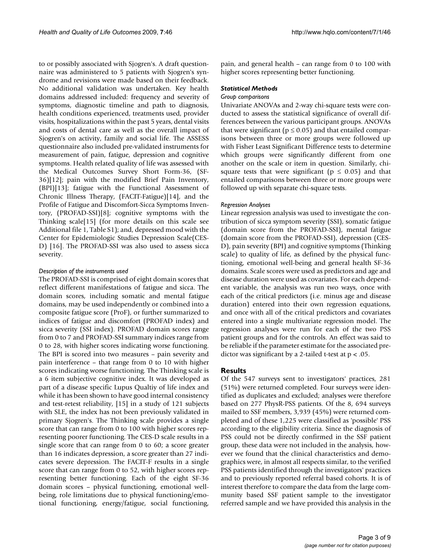to or possibly associated with Sjogren's. A draft questionnaire was administered to 5 patients with Sjogren's syndrome and revisions were made based on their feedback. No additional validation was undertaken. Key health domains addressed included: frequency and severity of symptoms, diagnostic timeline and path to diagnosis, health conditions experienced, treatments used, provider visits, hospitalizations within the past 5 years, dental visits and costs of dental care as well as the overall impact of Sjogren's on activity, family and social life. The ASSESS questionnaire also included pre-validated instruments for measurement of pain, fatigue, depression and cognitive symptoms. Health related quality of life was assessed with the Medical Outcomes Survey Short Form-36, (SF-36)[\[12](#page-7-9)]; pain with the modified Brief Pain Inventory, (BPI)[\[13\]](#page-7-10); fatigue with the Functional Assessment of Chronic Illness Therapy, (FACIT-Fatigue)[\[14](#page-7-11)], and the Profile of Fatigue and Discomfort-Sicca Symptoms Inventory, (PROFAD-SSI)[[8](#page-7-2)]; cognitive symptoms with the Thinking scale[[15](#page-7-12)] (for more details on this scale see Additional file [1,](#page-7-13) Table S1); and, depressed mood with the Center for Epidemiologic Studies Depression Scale(CES-D) [[16\]](#page-7-14). The PROFAD-SSI was also used to assess sicca severity.

# *Description of the instruments used*

The PROFAD-SSI is comprised of eight domain scores that reflect different manifestations of fatigue and sicca. The domain scores, including somatic and mental fatigue domains, may be used independently or combined into a composite fatigue score (ProF), or further summarized to indices of fatigue and discomfort (PROFAD index) and sicca severity (SSI index). PROFAD domain scores range from 0 to 7 and PROFAD-SSI summary indices range from 0 to 28, with higher scores indicating worse functioning. The BPI is scored into two measures – pain severity and pain interference – that range from 0 to 10 with higher scores indicating worse functioning. The Thinking scale is a 6 item subjective cognitive index. It was developed as part of a disease specific Lupus Qualtiy of life index and while it has been shown to have good internal consistency and test-retest reliability, [\[15](#page-7-12)] in a study of 121 subjects with SLE, the index has not been previously validated in primary Sjogren's. The Thinking scale provides a single score that can range from 0 to 100 with higher scores representing poorer functioning. The CES-D scale results in a single score that can range from 0 to 60; a score greater than 16 indicates depression, a score greater than 27 indicates severe depression. The FACIT-F results in a single score that can range from 0 to 52, with higher scores representing better functioning. Each of the eight SF-36 domain scores – physical functioning, emotional wellbeing, role limitations due to physical functioning/emotional functioning, energy/fatigue, social functioning,

pain, and general health – can range from 0 to 100 with higher scores representing better functioning.

# *Statistical Methods*

# *Group comparisons*

Univariate ANOVAs and 2-way chi-square tests were conducted to assess the statistical significance of overall differences between the various participant groups. ANOVAs that were significant ( $p \le 0.05$ ) and that entailed comparisons between three or more groups were followed up with Fisher Least Significant Difference tests to determine which groups were significantly different from one another on the scale or item in question. Similarly, chisquare tests that were significant ( $p \le 0.05$ ) and that entailed comparisons between three or more groups were followed up with separate chi-square tests.

# *Regression Analyses*

Linear regression analysis was used to investigate the contribution of sicca symptom severity (SSI), somatic fatigue (domain score from the PROFAD-SSI), mental fatigue (domain score from the PROFAD-SSI), depression (CES-D), pain severity (BPI) and cognitive symptoms (Thinking scale) to quality of life, as defined by the physical functioning, emotional well-being and general health SF-36 domains. Scale scores were used as predictors and age and disease duration were used as covariates. For each dependent variable, the analysis was run two ways, once with each of the critical predictors (i.e. minus age and disease duration) entered into their own regression equations, and once with all of the critical predictors and covariates entered into a single multivariate regression model. The regression analyses were run for each of the two PSS patient groups and for the controls. An effect was said to be reliable if the parameter estimate for the associated predictor was significant by a 2-tailed t-test at  $p < .05$ .

# **Results**

Of the 547 surveys sent to investigators' practices, 281 (51%) were returned completed. Four surveys were identified as duplicates and excluded; analyses were therefore based on 277 PhysR-PSS patients. Of the 8, 694 surveys mailed to SSF members, 3,939 (45%) were returned completed and of these 1,225 were classified as 'possible' PSS according to the eligibility criteria. Since the diagnosis of PSS could not be directly confirmed in the SSF patient group, these data were not included in the analysis, however we found that the clinical characteristics and demographics were, in almost all respects similar, to the verified PSS patients identified through the investigators' practices and to previously reported referral based cohorts. It is of interest therefore to compare the data from the large community based SSF patient sample to the investigator referred sample and we have provided this analysis in the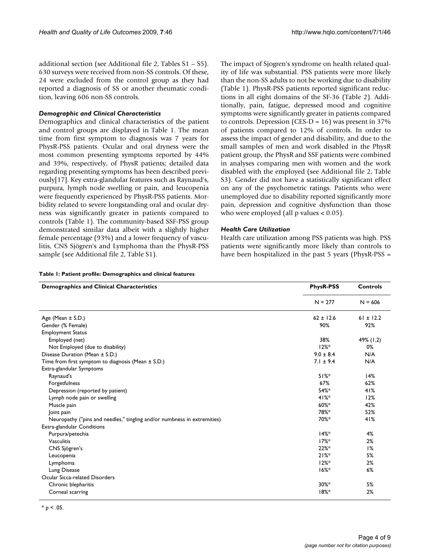additional section (see Additional file [2](#page-7-15), Tables S1 – S5). 630 surveys were received from non-SS controls. Of these, 24 were excluded from the control group as they had reported a diagnosis of SS or another rheumatic condition, leaving 606 non-SS controls.

# *Demographic and Clinical Characteristics*

Demographics and clinical characteristics of the patient and control groups are displayed in Table [1.](#page-3-0) The mean time from first symptom to diagnosis was 7 years for PhysR-PSS patients. Ocular and oral dryness were the most common presenting symptoms reported by 44% and 39%, respectively, of PhysR patients; detailed data regarding presenting symptoms has been described previously[\[17\]](#page-7-16). Key extra-glandular features such as Raynaud's, purpura, lymph node swelling or pain, and leucopenia were frequently experienced by PhysR-PSS patients. Morbidity related to severe longstanding oral and ocular dryness was significantly greater in patients compared to controls (Table [1\)](#page-3-0). The community-based SSF-PSS group demonstrated similar data albeit with a slightly higher female percentage (93%) and a lower frequency of vasculitis, CNS Sjögren's and Lymphoma than the PhysR-PSS sample (see Additional file [2,](#page-7-15) Table S1).

The impact of Sjogren's syndrome on health related quality of life was substantial. PSS patients were more likely than the non-SS adults to not be working due to disability (Table [1\)](#page-3-0). PhysR-PSS patients reported significant reductions in all eight domains of the SF-36 (Table [2\)](#page-4-0). Additionally, pain, fatigue, depressed mood and cognitive symptoms were significantly greater in patients compared to controls. Depression (CES-D =  $16$ ) was present in 37% of patients compared to 12% of controls. In order to assess the impact of gender and disability, and due to the small samples of men and work disabled in the PhysR patient group, the PhysR and SSF patients were combined in analyses comparing men with women and the work disabled with the employed (see Additional file [2](#page-7-15), Table S3). Gender did not have a statistically significant effect on any of the psychometric ratings. Patients who were unemployed due to disability reported significantly more pain, depression and cognitive dysfunction than those who were employed (all  $p$  values  $< 0.05$ ).

#### *Health Care Utilization*

Health care utilization among PSS patients was high. PSS patients were significantly more likely than controls to have been hospitalized in the past 5 years (PhysR-PSS =

#### <span id="page-3-0"></span>**Table 1: Patient profile: Demographics and clinical features**

| <b>Demographics and Clinical Characteristics</b>                         | <b>PhysR-PSS</b> | <b>Controls</b> |  |
|--------------------------------------------------------------------------|------------------|-----------------|--|
|                                                                          | $N = 277$        | $N = 606$       |  |
| Age (Mean $\pm$ S.D.)                                                    | $62 \pm 12.6$    | $61 \pm 12.2$   |  |
| Gender (% Female)                                                        | 90%              | 92%             |  |
| <b>Employment Status</b>                                                 |                  |                 |  |
| Employed (net)                                                           | 38%              | 49% (1,2)       |  |
| Not Employed (due to disability)                                         | $12%$ *          | 0%              |  |
| Disease Duration (Mean ± S.D.)                                           | $9.0 \pm 8.4$    | N/A             |  |
| Time from first symptom to diagnosis (Mean ± S.D.)                       | $7.1 \pm 9.4$    | N/A             |  |
| Extra-glandular Symptoms                                                 |                  |                 |  |
| Raynaud's                                                                | 51%              | 14%             |  |
| Forgetfulness                                                            | 67%              | 62%             |  |
| Depression (reported by patient)                                         | $54%$ *          | 41%             |  |
| Lymph node pain or swelling                                              | 41%              | 12%             |  |
| Muscle pain                                                              | 60%*             | 42%             |  |
| Joint pain                                                               | 78%*             | 52%             |  |
| Neuropathy ("pins and needles," tingling and/or numbness in extremities) | 70%*             | 41%             |  |
| Extra-glandular Conditions                                               |                  |                 |  |
| Purpura/petechia                                                         | 14%              | 4%              |  |
| <b>Vasculitis</b>                                                        | $17%$ *          | 2%              |  |
| CNS Sjögren's                                                            | $22%$ *          | 1%              |  |
| Leucopenia                                                               | 21%              | 5%              |  |
| Lymphoma                                                                 | $12%$ *          | 2%              |  |
| Lung Disease                                                             | $16%$ *          | 6%              |  |
| Ocular Sicca-related Disorders                                           |                  |                 |  |
| Chronic blepharitis                                                      | $30\%*$          | 5%              |  |
| Corneal scarring                                                         | 18%              | 2%              |  |

 $*_{\text{p}}$  < .05.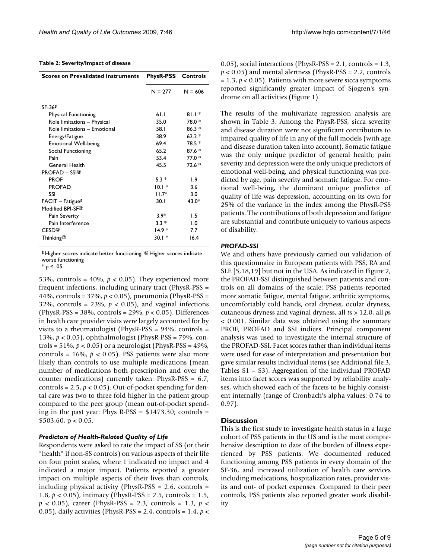#### <span id="page-4-0"></span>**Table 2: Severity/Impact of disease**

| <b>Scores on Prevalidated Instruments</b> | <b>PhysR-PSS</b> Controls |                               |  |
|-------------------------------------------|---------------------------|-------------------------------|--|
|                                           | $N = 277$                 | $N = 606$                     |  |
| SF-36 <sup>\$</sup>                       |                           |                               |  |
| <b>Physical Functioning</b>               | 61.1                      | $81.1*$                       |  |
| Role limitations - Physical               | 35.0                      | 78.0 *                        |  |
| Role limitations - Emotional              | 58.I                      | $86.3*$                       |  |
| Energy/Fatigue                            | 38.9                      | $62.2*$                       |  |
| <b>Emotional Well-being</b>               | 69.4                      | $78.5*$                       |  |
| Social Functioning                        | 65.2                      | $87.6*$                       |  |
| Pain                                      | 53.4                      | $77.0*$                       |  |
| General Health                            | 45.5                      | $72.6*$                       |  |
| <b>PROFAD - SSI@</b>                      |                           |                               |  |
| <b>PROF</b>                               | $5.3*$                    | 1.9                           |  |
| <b>PROFAD</b>                             | $10.1*$                   | 3.6                           |  |
| SSI                                       | $11.7*$                   | 3.0                           |  |
| $FACIT - Fatigue§$                        | 30. I                     | 43.0*                         |  |
| Modified BPI-SF@                          |                           |                               |  |
| Pain Severity                             | $3.9*$                    | 1.5                           |  |
| Pain Interference                         | $3.3*$                    | $\mathbf{1} \cdot \mathbf{0}$ |  |
| CESD <sup>@</sup>                         | $14.9*$                   | 7.7                           |  |
| Thinking@                                 | $30.1*$                   | 16.4                          |  |

\$ Higher scores indicate better functioning; @ Higher scores indicate worse functioning

 $*$  p < .05.

53%, controls =  $40\%$ ,  $p < 0.05$ ). They experienced more frequent infections, including urinary tract (PhysR-PSS = 44%, controls = 37%, *p* < 0.05), pneumonia (PhysR-PSS = 32%, controls =  $23\%$ ,  $p < 0.05$ ), and vaginal infections (PhysR-PSS = 38%, controls = 29%, *p* < 0.05). Differences in health care provider visits were largely accounted for by visits to a rheumatologist (PhysR-PSS = 94%, controls = 13%, *p* < 0.05), ophthalmologist (PhysR-PSS = 79%, controls =  $51\%$ ,  $p < 0.05$ ) or a neurologist (PhysR-PSS =  $49\%$ , controls =  $16\%$ ,  $p < 0.05$ ). PSS patients were also more likely than controls to use multiple medications (mean number of medications both prescription and over the counter medications) currently taken: PhysR-PSS = 6.7, controls =  $2.5$ ,  $p < 0.05$ ). Out-of-pocket spending for dental care was two to three fold higher in the patient group compared to the peer group (mean out-of-pocket spending in the past year: Phys R-PSS = \$1473.30; controls =  $$503.60, p < 0.05.$ 

#### *Predictors of Health-Related Quality of Life*

Respondents were asked to rate the impact of SS (or their "health" if non-SS controls) on various aspects of their life on four point scales, where 1 indicated no impact and 4 indicated a major impact. Patients reported a greater impact on multiple aspects of their lives than controls, including physical activity (PhysR-PSS = 2.6, controls = 1.8, *p* < 0.05), intimacy (PhysR-PSS = 2.5, controls = 1.5, *p* < 0.05), career (PhysR-PSS = 2.3, controls = 1.3, *p* < 0.05), daily activities (PhysR-PSS = 2.4, controls = 1.4, *p* <

0.05), social interactions (PhysR-PSS = 2.1, controls = 1.3, *p* < 0.05) and mental alertness (PhysR-PSS = 2.2, controls  $= 1.3$ ,  $p < 0.05$ ). Patients with more severe sicca symptoms reported significantly greater impact of Sjogren's syndrome on all activities (Figure [1](#page-5-0)).

The results of the multivariate regression analysis are shown in Table [3.](#page-5-1) Among the PhysR-PSS, sicca severity and disease duration were not significant contributors to impaired quality of life in any of the full models (with age and disease duration taken into account). Somatic fatigue was the only unique predictor of general health; pain severity and depression were the only unique predictors of emotional well-being, and physical functioning was predicted by age, pain severity and somatic fatigue. For emotional well-being, the dominant unique predictor of quality of life was depression, accounting on its own for 25% of the variance in the index among the PhysR-PSS patients. The contributions of both depression and fatigue are substantial and contribute uniquely to various aspects of disability.

#### *PROFAD-SSI*

We and others have previously carried out validation of this questionnaire in European patients with PSS, RA and SLE [[5](#page-7-4),[18](#page-7-17)[,19](#page-7-18)] but not in the USA. As indicated in Figure [2,](#page-6-0) the PROFAD-SSI distinguished between patients and controls on all domains of the scale: PSS patients reported more somatic fatigue, mental fatigue, arthritic symptoms, uncomfortably cold hands, oral dryness, ocular dryness, cutaneous dryness and vaginal dryness, all *t*s > 12.0, all *p*s < 0.001. Similar data was obtained using the summary PROF, PROFAD and SSI indices. Principal component analysis was used to investigate the internal structure of the PROFAD-SSI. Facet scores rather than individual items were used for ease of interpretation and presentation but gave similar results individual items (see Additional file [3,](#page-7-19) Tables S1 – S3). Aggregation of the individual PROFAD items into facet scores was supported by reliability analyses, which showed each of the facets to be highly consistent internally (range of Cronbach's alpha values: 0.74 to 0.97).

#### **Discussion**

This is the first study to investigate health status in a large cohort of PSS patients in the US and is the most comprehensive description to date of the burden of illness experienced by PSS patients. We documented reduced functioning among PSS patients in every domain of the SF-36, and increased utilization of health care services including medications, hospitalization rates, provider visits and out- of pocket expenses. Compared to their peer controls, PSS patients also reported greater work disability.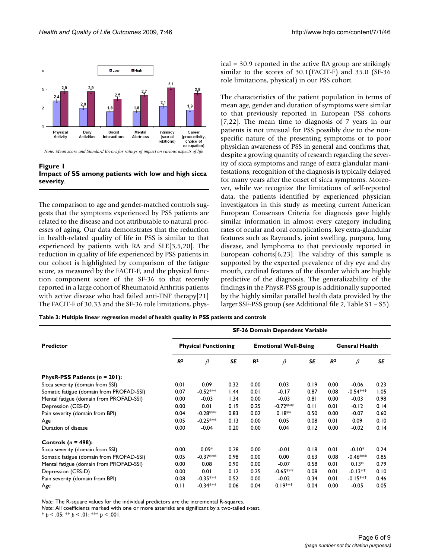<span id="page-5-0"></span>

**Figure 1 Impact of SS among patients with low and high sicca severity**.

The comparison to age and gender-matched controls suggests that the symptoms experienced by PSS patients are related to the disease and not attributable to natural processes of aging. Our data demonstrates that the reduction in health-related quality of life in PSS is similar to that experienced by patients with RA and SLE[\[3,](#page-7-3)[5,](#page-7-4)[20\]](#page-8-0). The reduction in quality of life experienced by PSS patients in our cohort is highlighted by comparison of the fatigue score, as measured by the FACIT-F, and the physical function component score of the SF-36 to that recently reported in a large cohort of Rheumatoid Arthritis patients with active disease who had failed anti-TNF therapy[[21\]](#page-8-1) The FACIT-F of 30.33 and the SF-36 role limitations, physical = 30.9 reported in the active RA group are strikingly similar to the scores of 30.1(FACIT-F) and 35.0 (SF-36 role limitations, physical) in our PSS cohort.

The characteristics of the patient population in terms of mean age, gender and duration of symptoms were similar to that previously reported in European PSS cohorts [[7](#page-7-5)[,22](#page-8-2)]. The mean time to diagnosis of 7 years in our patients is not unusual for PSS possibly due to the nonspecific nature of the presenting symptoms or to poor physician awareness of PSS in general and confirms that, despite a growing quantity of research regarding the severity of sicca symptoms and range of extra-glandular manifestations, recognition of the diagnosis is typically delayed for many years after the onset of sicca symptoms. Moreover, while we recognize the limitations of self-reported data, the patients identified by experienced physician investigators in this study as meeting current American European Consensus Criteria for diagnosis gave highly similar information in almost every category including rates of ocular and oral complications, key extra-glandular features such as Raynaud's, joint swelling, purpura, lung disease, and lymphoma to that previously reported in European cohorts $[6,23]$  $[6,23]$ . The validity of this sample is supported by the expected prevalence of dry eye and dry mouth, cardinal features of the disorder which are highly predictive of the diagnosis. The generalizability of the findings in the PhysR-PSS group is additionally supported by the highly similar parallel health data provided by the larger SSF-PSS group (see Additional file [2,](#page-7-15) Table S1 – S5).

<span id="page-5-1"></span>**Table 3: Multiple linear regression model of health quality in PSS patients and controls**

| <b>Predictor</b>                         | <b>SF-36 Domain Dependent Variable</b> |            |                             |                |                       |           |                |            |      |
|------------------------------------------|----------------------------------------|------------|-----------------------------|----------------|-----------------------|-----------|----------------|------------|------|
|                                          | <b>Physical Functioning</b>            |            | <b>Emotional Well-Being</b> |                | <b>General Health</b> |           |                |            |      |
|                                          | R <sup>2</sup>                         | $\beta$    | <b>SE</b>                   | R <sup>2</sup> | $\beta$               | <b>SE</b> | R <sup>2</sup> | $\beta$    | SE   |
| PhysR-PSS Patients $(n = 201)$ :         |                                        |            |                             |                |                       |           |                |            |      |
| Sicca severity (domain from SSI)         | 0.01                                   | 0.09       | 0.32                        | 0.00           | 0.03                  | 0.19      | 0.00           | $-0.06$    | 0.23 |
| Somatic fatigue (domain from PROFAD-SSI) | 0.07                                   | $-0.52***$ | 1.44                        | 0.01           | $-0.17$               | 0.87      | 0.08           | $-0.54***$ | 1.05 |
| Mental fatigue (domain from PROFAD-SSI)  | 0.00                                   | $-0.03$    | 1.34                        | 0.00           | $-0.03$               | 0.81      | 0.00           | $-0.03$    | 0.98 |
| Depression (CES-D)                       | 0.00                                   | 0.01       | 0.19                        | 0.25           | $-0.72***$            | 0.11      | 0.01           | $-0.12$    | 0.14 |
| Pain severity (domain from BPI)          | 0.04                                   | $-0.28***$ | 0.83                        | 0.02           | $0.18**$              | 0.50      | 0.00           | $-0.07$    | 0.60 |
| Age                                      | 0.05                                   | $-0.25***$ | 0.13                        | 0.00           | 0.05                  | 0.08      | 0.01           | 0.09       | 0.10 |
| Duration of disease                      | 0.00                                   | $-0.04$    | 0.20                        | 0.00           | 0.04                  | 0.12      | 0.00           | $-0.02$    | 0.14 |
| Controls ( $n = 498$ ):                  |                                        |            |                             |                |                       |           |                |            |      |
| Sicca severity (domain from SSI)         | 0.00                                   | $0.09*$    | 0.28                        | 0.00           | $-0.01$               | 0.18      | 0.01           | $-0.10*$   | 0.24 |
| Somatic fatigue (domain from PROFAD-SSI) | 0.05                                   | $-0.37***$ | 0.98                        | 0.00           | 0.00                  | 0.63      | 0.08           | $-0.46***$ | 0.85 |
| Mental fatigue (domain from PROFAD-SSI)  | 0.00                                   | 0.08       | 0.90                        | 0.00           | $-0.07$               | 0.58      | 0.01           | $0.13*$    | 0.79 |
| Depression (CES-D)                       | 0.00                                   | 0.01       | 0.12                        | 0.25           | $-0.65***$            | 0.08      | 0.01           | $-0.13**$  | 0.10 |
| Pain severity (domain from BPI)          | 0.08                                   | $-0.35***$ | 0.52                        | 0.00           | $-0.02$               | 0.34      | 0.01           | $-0.15***$ | 0.46 |
| Age                                      | 0.11                                   | $-0.34***$ | 0.06                        | 0.04           | $0.19***$             | 0.04      | 0.00           | $-0.05$    | 0.05 |

*Note*: The R-square values for the individual predictors are the incremental R-squares.

*Note*: All coefficients marked with one or more asterisks are significant by a two-tailed *t*-test.

 $* p < .05; ** p < .01; ** p > .001.$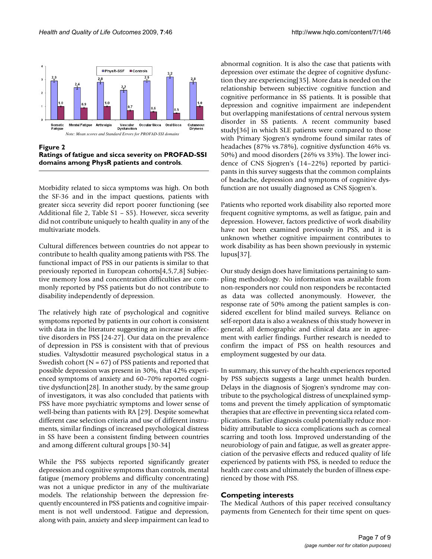<span id="page-6-0"></span>

Figure 2 **Ratings of fatigue and sicca severity on PROFAD-SSI domains among PhysR patients and controls**.

Morbidity related to sicca symptoms was high. On both the SF-36 and in the impact questions, patients with greater sicca severity did report poorer functioning (see Additional file [2](#page-7-15), Table S1 – S5). However, sicca severity did not contribute uniquely to health quality in any of the multivariate models.

Cultural differences between countries do not appear to contribute to health quality among patients with PSS. The functional impact of PSS in our patients is similar to that previously reported in European cohorts[\[4](#page-7-21)[,5](#page-7-4),[7](#page-7-5),[8](#page-7-2)] Subjective memory loss and concentration difficulties are commonly reported by PSS patients but do not contribute to disability independently of depression.

The relatively high rate of psychological and cognitive symptoms reported by patients in our cohort is consistent with data in the literature suggesting an increase in affective disorders in PSS [\[24](#page-8-4)[-27\]](#page-8-5). Our data on the prevalence of depression in PSS is consistent with that of previous studies. Valtysdottir measured psychological status in a Swedish cohort ( $N = 67$ ) of PSS patients and reported that possible depression was present in 30%, that 42% experienced symptoms of anxiety and 60–70% reported cognitive dysfunction[[28\]](#page-8-6). In another study, by the same group of investigators, it was also concluded that patients with PSS have more psychiatric symptoms and lower sense of well-being than patients with RA [\[29\]](#page-8-7). Despite somewhat different case selection criteria and use of different instruments, similar findings of increased psychological distress in SS have been a consistent finding between countries and among different cultural groups [\[30](#page-8-8)[-34](#page-8-9)]

While the PSS subjects reported significantly greater depression and cognitive symptoms than controls, mental fatigue (memory problems and difficulty concentrating) was not a unique predictor in any of the multivariate models. The relationship between the depression frequently encountered in PSS patients and cognitive impairment is not well understood. Fatigue and depression, along with pain, anxiety and sleep impairment can lead to

abnormal cognition. It is also the case that patients with depression over estimate the degree of cognitive dysfunction they are experiencing[[35](#page-8-10)]. More data is needed on the relationship between subjective cognitive function and cognitive performance in SS patients. It is possible that depression and cognitive impairment are independent but overlapping manifestations of central nervous system disorder in SS patients. A recent community based study[\[36](#page-8-11)] in which SLE patients were compared to those with Primary Sjogren's syndrome found similar rates of headaches (87% vs.78%), cognitive dysfunction 46% vs. 50%) and mood disorders (26% vs 33%). The lower incidence of CNS Sjogren's (14–22%) reported by participants in this survey suggests that the common complaints of headache, depression and symptoms of cognitive dysfunction are not usually diagnosed as CNS Sjogren's.

Patients who reported work disability also reported more frequent cognitive symptoms, as well as fatigue, pain and depression. However, factors predictive of work disability have not been examined previously in PSS, and it is unknown whether cognitive impairment contributes to work disability as has been shown previously in systemic lupus[[37\]](#page-8-12).

Our study design does have limitations pertaining to sampling methodology. No information was available from non-responders nor could non responders be recontacted as data was collected anonymously. However, the response rate of 50% among the patient samples is considered excellent for blind mailed surveys. Reliance on self-report data is also a weakness of this study however in general, all demographic and clinical data are in agreement with earlier findings. Further research is needed to confirm the impact of PSS on health resources and employment suggested by our data.

In summary, this survey of the health experiences reported by PSS subjects suggests a large unmet health burden. Delays in the diagnosis of Sjogren's syndrome may contribute to the psychological distress of unexplained symptoms and prevent the timely application of symptomatic therapies that are effective in preventing sicca related complications. Earlier diagnosis could potentially reduce morbidity attributable to sicca complications such as corneal scarring and tooth loss. Improved understanding of the neurobiology of pain and fatigue, as well as greater appreciation of the pervasive effects and reduced quality of life experienced by patients with PSS, is needed to reduce the health care costs and ultimately the burden of illness experienced by those with PSS.

# **Competing interests**

The Medical Authors of this paper received consultancy payments from Genentech for their time spent on ques-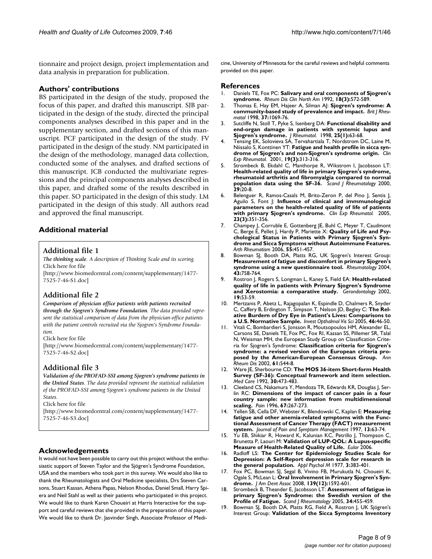tionnaire and project design, project implementation and data analysis in preparation for publication.

# **Authors' contributions**

BS participated in the design of the study, proposed the focus of this paper, and drafted this manuscript. SJB participated in the design of the study, directed the principal components analyses described in this paper and in the supplementary section, and drafted sections of this manuscript. PCF participated in the design of the study. FV participated in the design of the study. NM participated in the design of the methodology, managed data collection, conducted some of the analyses, and drafted sections of this manuscript. JCB conducted the multivariate regressions and the principal components analyses described in this paper, and drafted some of the results described in this paper. SO participated in the design of this study. LM participated in the design of this study. All authors read and approved the final manuscript.

# **Additional material**

# <span id="page-7-13"></span>**Additional file 1**

*The thinking scale. A description of Thinking Scale and its scoring.* Click here for file

[\[http://www.biomedcentral.com/content/supplementary/1477-](http://www.biomedcentral.com/content/supplementary/1477-7525-7-46-S1.doc) 7525-7-46-S1.doc]

# <span id="page-7-15"></span>**Additional file 2**

# *Comparison of physician office patients with patients recruited through the Sjogren's Syndrome Foundation. The data provided represent the statistical comparison of data from the physician-office patients*

*with the patient controls recruited via the Sjogren's Syndrome Foundation.*

### Click here for file

[\[http://www.biomedcentral.com/content/supplementary/1477-](http://www.biomedcentral.com/content/supplementary/1477-7525-7-46-S2.doc) 7525-7-46-S2.doc]

# <span id="page-7-19"></span>**Additional file 3**

### *Validation of the PROFAD-SSI among Sjogren's syndrome patients in the United States. The data provided represent the statistical validation of the PROFAD-SSI among Sjogren's syndrome patients in the United States.*

Click here for file

[\[http://www.biomedcentral.com/content/supplementary/1477-](http://www.biomedcentral.com/content/supplementary/1477-7525-7-46-S3.doc) 7525-7-46-S3.doc]

# **Acknowledgements**

It would not have been possible to carry out this project without the enthusiastic support of Steven Taylor and the Sjögren's Syndrome Foundation, USA and the members who took part in this survey. We would also like to thank the Rheumatologists and Oral Medicine specialists, Drs Steven Carsons, Stuart Kassan, Athena Papas, Nelson Rhodus, Daniel Small, Harry Spiera and Neil Stahl as well as their patients who participated in this project. We would like to thank Karen Choueiri at Harris Interactive for the support and careful reviews that she provided in the preparation of this paper. We would like to thank Dr. Jasvinder Singh, Associate Professor of Medicine, University of Minnesota for the careful reviews and helpful comments provided on this paper.

# **References**

- <span id="page-7-0"></span>1. Daniels TE, Fox PC: **Salivary and oral components of Sjogren's syndrome.** *Rheum Dis Clin North Am* 1992, **18(3):**572-589.
- <span id="page-7-1"></span>2. Thomas E, Hay EM, Hajeer A, Silman AJ: **Sjogren's syndrome: A community-based study of prevalence and impact.** *Brit J Rheumatol* 1998, **37:**1069-76.
- <span id="page-7-3"></span>3. Sutcliffe N, Stoll T, Pyke S, Isenberg DA: **[Functional disability and](http://www.ncbi.nlm.nih.gov/entrez/query.fcgi?cmd=Retrieve&db=PubMed&dopt=Abstract&list_uids=9458204) [end-organ damage in patients with systemic lupus and](http://www.ncbi.nlm.nih.gov/entrez/query.fcgi?cmd=Retrieve&db=PubMed&dopt=Abstract&list_uids=9458204) [Sjogren's syndrome.](http://www.ncbi.nlm.nih.gov/entrez/query.fcgi?cmd=Retrieve&db=PubMed&dopt=Abstract&list_uids=9458204)** *J Rheumatol.* 1998, **25(1):**63-68.
- <span id="page-7-21"></span>4. Tensing EK, Solovieva SA, Tervahartiala T, Nordstrom DC, Laine M, Niissalo S, Konttinen YT: **[Fatigue and health profile in sicca syn](http://www.ncbi.nlm.nih.gov/entrez/query.fcgi?cmd=Retrieve&db=PubMed&dopt=Abstract&list_uids=11407086)[drome of Sjogren's and non-Sjogren's syndrome origin.](http://www.ncbi.nlm.nih.gov/entrez/query.fcgi?cmd=Retrieve&db=PubMed&dopt=Abstract&list_uids=11407086)** *Clin Exp Rheumatol.* 2001, **19(3):**313-316.
- <span id="page-7-4"></span>5. Strombeck B, Ekdahl C, Manthorpe R, Wikstrom I, Jacobsson LT: **Health-related quality of life in primary Sjogren's syndrome, rheumatoid arthritis and fibromyalgia compared to normal population data using the SF-36.** *Scand J Rheumatology* 2000, **29:**20-8.
- <span id="page-7-20"></span>6. Belenguer R, Ramos-Casals M, Brito-Zeron P, del Pino J, Sentis J, Aguilo S, Font J: **[Influence of clinical and immmunological](http://www.ncbi.nlm.nih.gov/entrez/query.fcgi?cmd=Retrieve&db=PubMed&dopt=Abstract&list_uids=15971423) [parameters on the health-related quality of life of patients](http://www.ncbi.nlm.nih.gov/entrez/query.fcgi?cmd=Retrieve&db=PubMed&dopt=Abstract&list_uids=15971423) [with primary Sjogren's syndrome.](http://www.ncbi.nlm.nih.gov/entrez/query.fcgi?cmd=Retrieve&db=PubMed&dopt=Abstract&list_uids=15971423)** *Clin Exp Rheumatol.* 2005, **23(3):**351-356.
- <span id="page-7-5"></span>7. Champey J, Corruble E, Gottenberg JE, Buhl C, Meyer T, Caudmont C, Berge E, Pellet J, Hardy P, Mariette X: **Quality of Life and Psychological Status in Patients with Primary Sjogren's Syndrome and Sicca Symptoms without Autoimmune Features.** *Arth Rheumatism* 2006, **55:**451-457.
- <span id="page-7-2"></span>8. Bowman SJ, Booth DA, Platts RG, UK Sjogren's Interest Group: **[Measurement of fatigue and discomfort in primary Sjogren's](http://www.ncbi.nlm.nih.gov/entrez/query.fcgi?cmd=Retrieve&db=PubMed&dopt=Abstract&list_uids=15039495) [syndrome using a new questionnaire tool.](http://www.ncbi.nlm.nih.gov/entrez/query.fcgi?cmd=Retrieve&db=PubMed&dopt=Abstract&list_uids=15039495)** *Rheumatology* 2004, **43:**758-764.
- <span id="page-7-6"></span>9. Rostron J, Rogers S, Longman L, Kaney S, Field EA: **Health-related quality of life in patients with Primary Sjogren's Syndrome and Xerostomia: a comparative study.** *Gerondontology* 2002, **19:**53-59.
- <span id="page-7-7"></span>10. Mertzanis P, Abetz L, Rajagopalan K, Espindle D, Chalmers R, Snyder C, Caffery B, Erdington T, Simpson T, Nelson JD, Begley C: **The Relative Burdern of Dry Eye in Patient's Lives: Comparisons to a U.S. Normative Sample.** *Invest Opthalmol Vis Sci* 2005, **46:**46-50.
- <span id="page-7-8"></span>11. Vitali C, Bombardieri S, Jonsson R, Moutsopoulos HM, Alexander EL, Carsons SE, Daniels TE, Fox PC, Fox RI, Kassan SS, Pillemer SR, Talal N, Weisman MH, the European Study Group on Classification Criteria for Sjogren's Syndrome: **[Classification criteria for Sjogren's](http://www.ncbi.nlm.nih.gov/entrez/query.fcgi?cmd=Retrieve&db=PubMed&dopt=Abstract&list_uids=12006331) [syndrome: a revised version of the European criteria pro](http://www.ncbi.nlm.nih.gov/entrez/query.fcgi?cmd=Retrieve&db=PubMed&dopt=Abstract&list_uids=12006331)[posed by the American-European Consensus Group.](http://www.ncbi.nlm.nih.gov/entrez/query.fcgi?cmd=Retrieve&db=PubMed&dopt=Abstract&list_uids=12006331)** *Ann Rheum Dis* 2002, **61:**544-8.
- <span id="page-7-9"></span>12. Ware JE, Sherbourne CD: **[The MOS 36-item Short-form Health](http://www.ncbi.nlm.nih.gov/entrez/query.fcgi?cmd=Retrieve&db=PubMed&dopt=Abstract&list_uids=1593914) [Survey \(SF-36\): Conceptual framework and item selection.](http://www.ncbi.nlm.nih.gov/entrez/query.fcgi?cmd=Retrieve&db=PubMed&dopt=Abstract&list_uids=1593914)** *Med Care* 1992, **30:**473-483.
- <span id="page-7-10"></span>13. Cleeland CS, Nakamura Y, Mendoza TR, Edwards KR, Douglas J, Serlin RC: **[Dimensions of the impact of cancer pain in a four](http://www.ncbi.nlm.nih.gov/entrez/query.fcgi?cmd=Retrieve&db=PubMed&dopt=Abstract&list_uids=8951920) [country sample: new information from multidimensional](http://www.ncbi.nlm.nih.gov/entrez/query.fcgi?cmd=Retrieve&db=PubMed&dopt=Abstract&list_uids=8951920) [scaling.](http://www.ncbi.nlm.nih.gov/entrez/query.fcgi?cmd=Retrieve&db=PubMed&dopt=Abstract&list_uids=8951920)** *Pain* 1996, **67:**267-273.
- <span id="page-7-11"></span>14. Yellen SB, Cella DF, Webster K, Blendowski C, Kaplan E: **Measuring fatigue and other anemia-related symptoms with the Functional Assessment of Cancer Therapy (FACT) measurement system.** *Journal of Pain and Symptom Management* 1997, **13:**63-74.
- <span id="page-7-12"></span>15. Yu EB, Shikiar R, Howard K, Kalunian KC, Petrillo J, Thompson C, Brunetta P, Laouri M: **Validation of LUP-QOL: A Lupus-specific Measure of Health-Related Quality of Life.** *Eular* 2006.
- <span id="page-7-14"></span>16. Radloff LS: **The Center for Epidemiology Studies Scale for Depression: A Self-Report depression scale for research in the general population.** *Appl Psychol M* 1977, **3:**383-401.
- <span id="page-7-16"></span>17. Fox PC, Bowman SJ, Segal B, Vivino FB, Murukutla N, Choueiri K, Ogale S, McLean L: **[Oral Involvement in Primary Sjogren's Syn](http://www.ncbi.nlm.nih.gov/entrez/query.fcgi?cmd=Retrieve&db=PubMed&dopt=Abstract&list_uids=19047665)[drome.](http://www.ncbi.nlm.nih.gov/entrez/query.fcgi?cmd=Retrieve&db=PubMed&dopt=Abstract&list_uids=19047665)** *J Am Dent Assoc* 2008, **139(12):**1592-601.
- <span id="page-7-17"></span>18. Strombeck B, Theander E, Jacobsson LT: **Assessment of fatigue in primary Sjogren's Syndrome: the Swedish version of the Profile of Fatigue.** *Scand J Rheumatology* 2005, **34:**455-459.
- <span id="page-7-18"></span>19. Bowman SJ, Booth DA, Platts RG, Field A, Rostron J, UK Sjögren's Interest Group: **[Validation of the Sicca Symptoms Inventory](http://www.ncbi.nlm.nih.gov/entrez/query.fcgi?cmd=Retrieve&db=PubMed&dopt=Abstract&list_uids=12784400)**